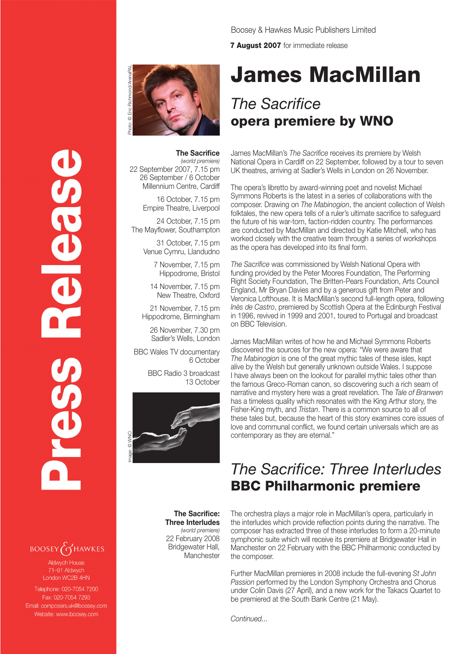Boosey & Hawkes Music Publishers Limited

**7 August 2007** for immediate release

# James MacMillan

## *The Sacrifice* opera premiere by WNO

#### **The Sacrifice**

*(world premiere)* 22 September 2007, 7.15 pm 26 September / 6 October Millennium Centre, Cardiff

Photo: © Eric Richmond/ArenaPAL

16 October, 7.15 pm Empire Theatre, Liverpool

24 October, 7.15 pm The Mayflower, Southampton

> 31 October, 7.15 pm Venue Cymru, Llandudno

> > 7 November, 7.15 pm Hippodrome, Bristol

14 November, 7.15 pm New Theatre, Oxford

21 November, 7.15 pm Hippodrome, Birmingham

26 November, 7.30 pm Sadler's Wells, London

BBC Wales TV documentary 6 October

> BBC Radio 3 broadcast 13 October



**The Sacrifice: Three Interludes** *(world premiere)* 22 February 2008 Bridgewater Hall, **Manchester** 

James MacMillan's *The Sacrifice* receives its premiere by Welsh National Opera in Cardiff on 22 September, followed by a tour to seven UK theatres, arriving at Sadler's Wells in London on 26 November.

The opera's libretto by award-winning poet and novelist Michael Symmons Roberts is the latest in a series of collaborations with the composer. Drawing on *The Mabinogion*, the ancient collection of Welsh folktales, the new opera tells of a ruler's ultimate sacrifice to safeguard the future of his war-torn, faction-ridden country. The performances are conducted by MacMillan and directed by Katie Mitchell, who has worked closely with the creative team through a series of workshops as the opera has developed into its final form.

*The Sacrifice* was commissioned by Welsh National Opera with funding provided by the Peter Moores Foundation, The Performing Right Society Foundation, The Britten-Pears Foundation, Arts Council England, Mr Bryan Davies and by a generous gift from Peter and Veronica Lofthouse. It is MacMillan's second full-length opera, following *Inès de Castro*, premiered by Scottish Opera at the Edinburgh Festival in 1996, revived in 1999 and 2001, toured to Portugal and broadcast on BBC Television.

James MacMillan writes of how he and Michael Symmons Roberts discovered the sources for the new opera: "We were aware that *The Mabinogion* is one of the great mythic tales of these isles, kept alive by the Welsh but generally unknown outside Wales. I suppose I have always been on the lookout for parallel mythic tales other than the famous Greco-Roman canon, so discovering such a rich seam of narrative and mystery here was a great revelation. The *Tale of Branwen* has a timeless quality which resonates with the King Arthur story, the Fisher-King myth, and *Tristan*. There is a common source to all of these tales but, because the heart of this story examines core issues of love and communal conflict, we found certain universals which are as contemporary as they are eternal."

### *The Sacrifice: Three Interludes* BBC Philharmonic premiere

The orchestra plays a major role in MacMillan's opera, particularly in the interludes which provide reflection points during the narrative. The composer has extracted three of these interludes to form a 20-minute symphonic suite which will receive its premiere at Bridgewater Hall in Manchester on 22 February with the BBC Philharmonic conducted by the composer.

Further MacMillan premieres in 2008 include the full-evening *St John Passion* performed by the London Symphony Orchestra and Chorus under Colin Davis (27 April), and a new work for the Takacs Quartet to be premiered at the South Bank Centre (21 May).

*Continued...*

**BOOSEY GHAWKES** Aldwych House 71-91 Aldwych

Telephone: 020-7054 7200 Fax: 020-7054 7293 Email: composers.uk@boosey.com Website: www.boosey.com

London WC2B 4HN